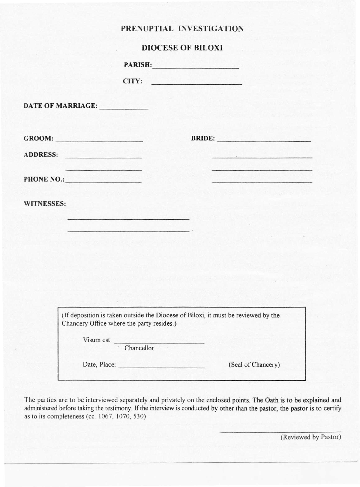## PRENUPTIAL INVESTIGATION

# DIOCESE OF BILOXI

|                                           | <b>PARISH:</b>                                                                    |
|-------------------------------------------|-----------------------------------------------------------------------------------|
| CITY:                                     | <b>THE REAL PROPERTY AND REAL PROPERTY</b>                                        |
| DATE OF MARRIAGE:                         |                                                                                   |
| $G$ ROOM:                                 | <b>BRIDE:</b>                                                                     |
| ADDRESS:                                  |                                                                                   |
| PHONE NO.:                                |                                                                                   |
| <b>WITNESSES:</b>                         |                                                                                   |
|                                           |                                                                                   |
|                                           |                                                                                   |
|                                           |                                                                                   |
|                                           |                                                                                   |
|                                           |                                                                                   |
| Chancery Office where the party resides.) | (If deposition is taken outside the Diocese of Biloxi, it must be reviewed by the |
| Visum est: <u>Chancellor</u>              |                                                                                   |
| Date, Place: 1988. [19] Date, Place:      | (Seal of Chancery)                                                                |

The parties are to be interviewed separately and privately on the enclosed points. The Oath is to be explained and administered before taking the testimony. If the interview is conducted by other than the pastor, the pastor is to certify as to its completeness (ce. 1067, 1070, 530)

(Reviewed by Pastor)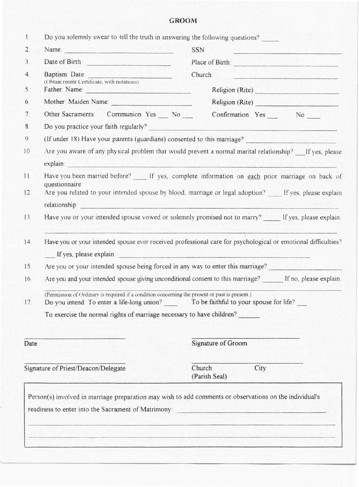### **GROOM**

| $\mathbf{I}_{\cdot}$ | Do you solemnly swear to tell the truth in answering the following questions?                                                                                                                                                  |                                                                                                               |  |
|----------------------|--------------------------------------------------------------------------------------------------------------------------------------------------------------------------------------------------------------------------------|---------------------------------------------------------------------------------------------------------------|--|
| 2.                   | Name: Name: Name: Name: Name: Name: Name: Name: Name: Name: Name: Name: Name: Name: Name: Name: Name: Name: Name: Name: Name: Name: Name: Name: Name: Name: Name: Name: Name: Name: Name: Name: Name: Name: Name: Name: Name:  | SSN:<br>وتوازي والماك كورك أبتاه والمراكب وتوارد                                                              |  |
| 3 <sub>1</sub>       | Date of Birth:                                                                                                                                                                                                                 | Place of Birth:                                                                                               |  |
| 4.                   | Baptism: Date:<br>(Obtain recent Certificate, with notations)                                                                                                                                                                  | Church:                                                                                                       |  |
| 5.                   | Father: Name: 2008. 2008. 2009. 2012. 2013. 2014. 2015. 2016. 2017. 2018. 2017. 2018. 2017. 2018. 2017. 2017. 2017. 2017. 2017. 2017. 2017. 2018. 2017. 2018. 2017. 2017. 2018. 2017. 2017. 2017. 2017. 2017. 2017. 2017. 2017 | Religion (Rite)                                                                                               |  |
| 6.                   | Mother: Maiden Name:                                                                                                                                                                                                           | Religion (Rite)                                                                                               |  |
| 7.                   |                                                                                                                                                                                                                                | Other Sacraments: Communion: Yes No Confirmation: Yes No No                                                   |  |
| 8.                   |                                                                                                                                                                                                                                |                                                                                                               |  |
| 9 <sub>1</sub>       |                                                                                                                                                                                                                                | (If under 18) Have your parents (guardians) consented to this marriage?                                       |  |
| 10.                  |                                                                                                                                                                                                                                | Are you aware of any physical problem that would prevent a normal marital relationship? __ If yes, please     |  |
|                      | explain: explain:                                                                                                                                                                                                              |                                                                                                               |  |
| 11                   |                                                                                                                                                                                                                                | Have you been married before? ____ If yes, complete information on each prior marriage on back of             |  |
| 12.                  | questionnaire.                                                                                                                                                                                                                 | Are you related to your intended spouse by blood, marriage or legal adoption? If yes, please explain          |  |
|                      | relationship: experience and the contract of the contract of the contract of the contract of the contract of the contract of the contract of the contract of the contract of the contract of the contract of the contract of t |                                                                                                               |  |
| 13.                  |                                                                                                                                                                                                                                | Have you or your intended spouse vowed or solemnly promised not to marry? _____ If yes, please explain:       |  |
|                      |                                                                                                                                                                                                                                |                                                                                                               |  |
| 14.                  |                                                                                                                                                                                                                                | Have you or your intended spouse ever received professional care for psychological or emotional difficulties? |  |
|                      | If yes, please explain: 1999 and 1999 and 1999 and 1999 and 1999 and 1999 and 1999 and 1999 and 1999 and 1999 and 1999 and 1999 and 1999 and 1999 and 1999 and 1999 and 1999 and 1999 and 1999 and 1999 and 1999 and 1999 and  |                                                                                                               |  |
| 15.                  |                                                                                                                                                                                                                                | Are you or your intended spouse being forced in any way to enter this marriage?                               |  |
| 16.                  |                                                                                                                                                                                                                                | Are you and your intended spouse giving unconditional consent to this marriage? If no, please explain:        |  |
| 17.                  | (Permission of Ordinary is required if a condition concerning the present or past is present.)<br>Do you intend: To enter a life-long union? To be faithful to your spouse for life?                                           |                                                                                                               |  |
|                      | To exercise the normal rights of marriage necessary to have children?                                                                                                                                                          |                                                                                                               |  |
|                      |                                                                                                                                                                                                                                |                                                                                                               |  |
| Date                 |                                                                                                                                                                                                                                | Signature of Groom                                                                                            |  |
|                      |                                                                                                                                                                                                                                |                                                                                                               |  |
|                      | Signature of Priest/Deacon/Delegate                                                                                                                                                                                            | City<br>Church<br>(Parish Seal)                                                                               |  |
|                      |                                                                                                                                                                                                                                |                                                                                                               |  |
|                      | Person(s) involved in marriage preparation may wish to add comments or observations on the individual's                                                                                                                        |                                                                                                               |  |
|                      | readiness to enter into the Sacrament of Matrimony.                                                                                                                                                                            |                                                                                                               |  |
|                      |                                                                                                                                                                                                                                |                                                                                                               |  |
|                      |                                                                                                                                                                                                                                | ومستحرقات والمتابع الاستحقاق والمتحول المراجع والمستحق والمستحل المائي ومستقيد والمتحدث والمستحق والمتحارب    |  |
|                      |                                                                                                                                                                                                                                |                                                                                                               |  |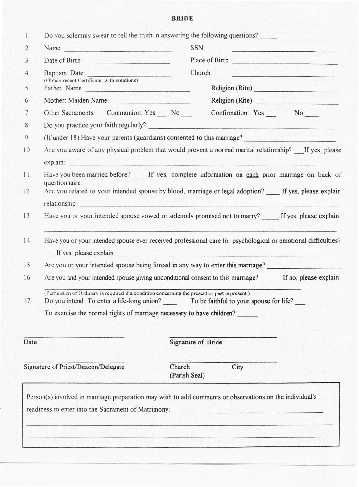### **BRIDE**

| $\mathbf{1}$ .   |                                                                                                                                                                                                                               | Do you solemnly swear to tell the truth in answering the following questions?                                                                                                                |
|------------------|-------------------------------------------------------------------------------------------------------------------------------------------------------------------------------------------------------------------------------|----------------------------------------------------------------------------------------------------------------------------------------------------------------------------------------------|
| $\overline{2}$ . | Name:                                                                                                                                                                                                                         | SSN:<br><u> 1999 - Jacques Anna American American I</u>                                                                                                                                      |
| 3 <sub>1</sub>   | Date of Birth                                                                                                                                                                                                                 | Place of Birth:                                                                                                                                                                              |
| 4.               | Baptism: Date:                                                                                                                                                                                                                | Church:<br><u>. Admitistrativni stari i komunisti</u>                                                                                                                                        |
| 5.               | (Obtain recent Certificate, with notations)<br>Father: Name:                                                                                                                                                                  | Religion (Rite)                                                                                                                                                                              |
| 6.               |                                                                                                                                                                                                                               | Religion (Rite)                                                                                                                                                                              |
| 7.               | Other Sacraments: Communion: Yes No __                                                                                                                                                                                        |                                                                                                                                                                                              |
| 8.               |                                                                                                                                                                                                                               |                                                                                                                                                                                              |
| 9                |                                                                                                                                                                                                                               | (If under 18) Have your parents (guardians) consented to this marriage?                                                                                                                      |
| 10               |                                                                                                                                                                                                                               | Are you aware of any physical problem that would prevent a normal marital relationship? If yes, please                                                                                       |
|                  | explain: and the contract of the contract of the contract of the contract of the contract of the contract of the                                                                                                              |                                                                                                                                                                                              |
| 11.              |                                                                                                                                                                                                                               | Have you been married before? ____ If yes, complete information on each prior marriage on back of                                                                                            |
|                  | questionnaire.                                                                                                                                                                                                                |                                                                                                                                                                                              |
| 12.              |                                                                                                                                                                                                                               | Are you related to your intended spouse by blood, marriage or legal adoption? If yes, please explain                                                                                         |
|                  | relationship: the contract of the contract of the contract of the contract of the contract of the contract of the contract of the contract of the contract of the contract of the contract of the contract of the contract of |                                                                                                                                                                                              |
| 13.              |                                                                                                                                                                                                                               | Have you or your intended spouse vowed or solemnly promised not to marry? If yes, please explain:                                                                                            |
| 14.              |                                                                                                                                                                                                                               | Have you or your intended spouse ever received professional care for psychological or emotional difficulties?                                                                                |
|                  |                                                                                                                                                                                                                               |                                                                                                                                                                                              |
| 15.              |                                                                                                                                                                                                                               | Are you or your intended spouse being forced in any way to enter this marriage?                                                                                                              |
| 16.              |                                                                                                                                                                                                                               | Are you and your intended spouse giving unconditional consent to this marriage? If no, please explain:                                                                                       |
| 17.              | (Permission of Ordinary is required if a condition concerning the present or past is present.)                                                                                                                                | Do you intend: To enter a life-long union? To be faithful to your spouse for life?                                                                                                           |
|                  |                                                                                                                                                                                                                               | To exercise the normal rights of marriage necessary to have children?                                                                                                                        |
|                  |                                                                                                                                                                                                                               |                                                                                                                                                                                              |
| Date             |                                                                                                                                                                                                                               | Signature of Bride                                                                                                                                                                           |
|                  | Signature of Priest/Deacon/Delegate                                                                                                                                                                                           | Church<br>City<br>(Parish Seal)                                                                                                                                                              |
|                  |                                                                                                                                                                                                                               | Person(s) involved in marriage preparation may wish to add comments or observations on the individual's<br>readiness to enter into the Sacrament of Matrimony: _____________________________ |
|                  |                                                                                                                                                                                                                               | وكالموقف المتحدث والمتقاد والمرادا والمتواطئ المتواطئ والمستحدث والمستحدث                                                                                                                    |
|                  |                                                                                                                                                                                                                               |                                                                                                                                                                                              |